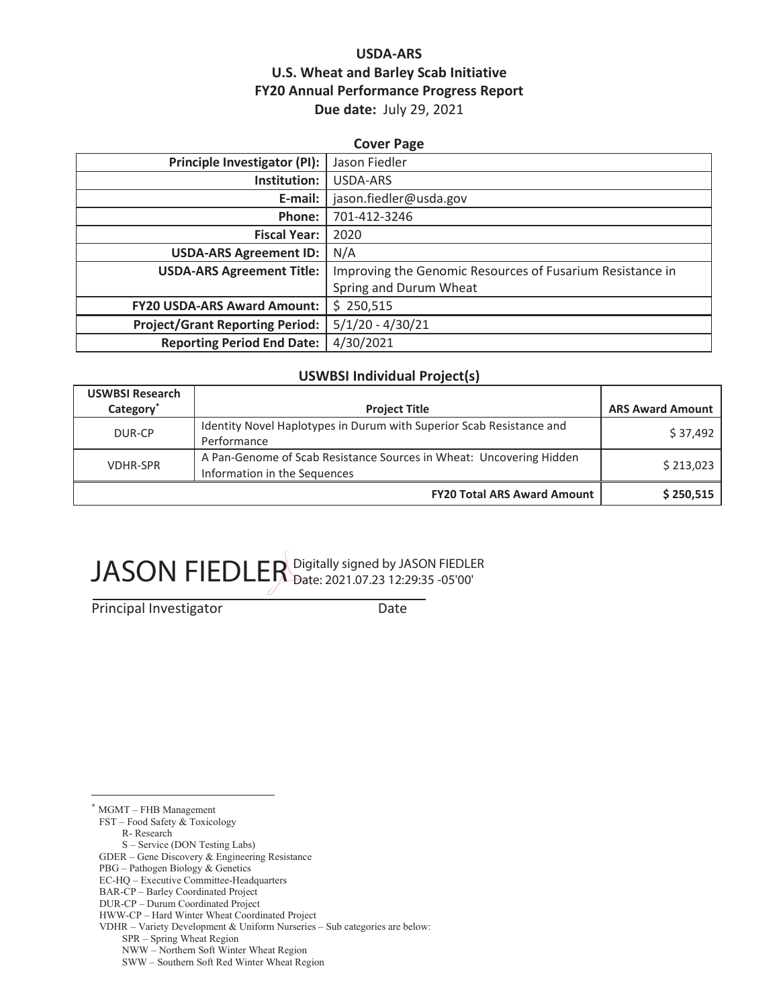## **USDA-ARS U.S. Wheat and Barley Scab Initiative FY20 Annual Performance Progress Report Due date:** July 29, 2021

| <b>Cover Page</b>                      |                                                           |  |  |
|----------------------------------------|-----------------------------------------------------------|--|--|
| Principle Investigator (PI):           | Jason Fiedler                                             |  |  |
| Institution:                           | USDA-ARS                                                  |  |  |
| E-mail:                                | jason.fiedler@usda.gov                                    |  |  |
| Phone:                                 | 701-412-3246                                              |  |  |
| <b>Fiscal Year:</b>                    | 2020                                                      |  |  |
| <b>USDA-ARS Agreement ID:</b>          | N/A                                                       |  |  |
| <b>USDA-ARS Agreement Title:</b>       | Improving the Genomic Resources of Fusarium Resistance in |  |  |
|                                        | Spring and Durum Wheat                                    |  |  |
| <b>FY20 USDA-ARS Award Amount:</b>     | \$250,515                                                 |  |  |
| <b>Project/Grant Reporting Period:</b> | $5/1/20 - 4/30/21$                                        |  |  |
| <b>Reporting Period End Date:</b>      | 4/30/2021                                                 |  |  |

#### **USWBSI Individual Project(s)**

| <b>USWBSI Research</b> |                                                                                                     |                         |
|------------------------|-----------------------------------------------------------------------------------------------------|-------------------------|
| Category <sup>*</sup>  | <b>Project Title</b>                                                                                | <b>ARS Award Amount</b> |
| DUR-CP                 | Identity Novel Haplotypes in Durum with Superior Scab Resistance and<br>Performance                 | \$37,492                |
| <b>VDHR-SPR</b>        | A Pan-Genome of Scab Resistance Sources in Wheat: Uncovering Hidden<br>Information in the Sequences | \$213,023               |
|                        | <b>FY20 Total ARS Award Amount</b>                                                                  | \$250,515               |

# JASON FIEDLER Digitally signed by JASON FIEDLER

Principal Investigator Date

\* MGMT – FHB Management

FST – Food Safety & Toxicology

R- Research

S – Service (DON Testing Labs)

GDER – Gene Discovery & Engineering Resistance

PBG – Pathogen Biology & Genetics

EC-HQ – Executive Committee-Headquarters

BAR-CP – Barley Coordinated Project

VDHR – Variety Development & Uniform Nurseries – Sub categories are below:

SPR – Spring Wheat Region

NWW – Northern Soft Winter Wheat Region

SWW – Southern Soft Red Winter Wheat Region

DUR-CP – Durum Coordinated Project

HWW-CP – Hard Winter Wheat Coordinated Project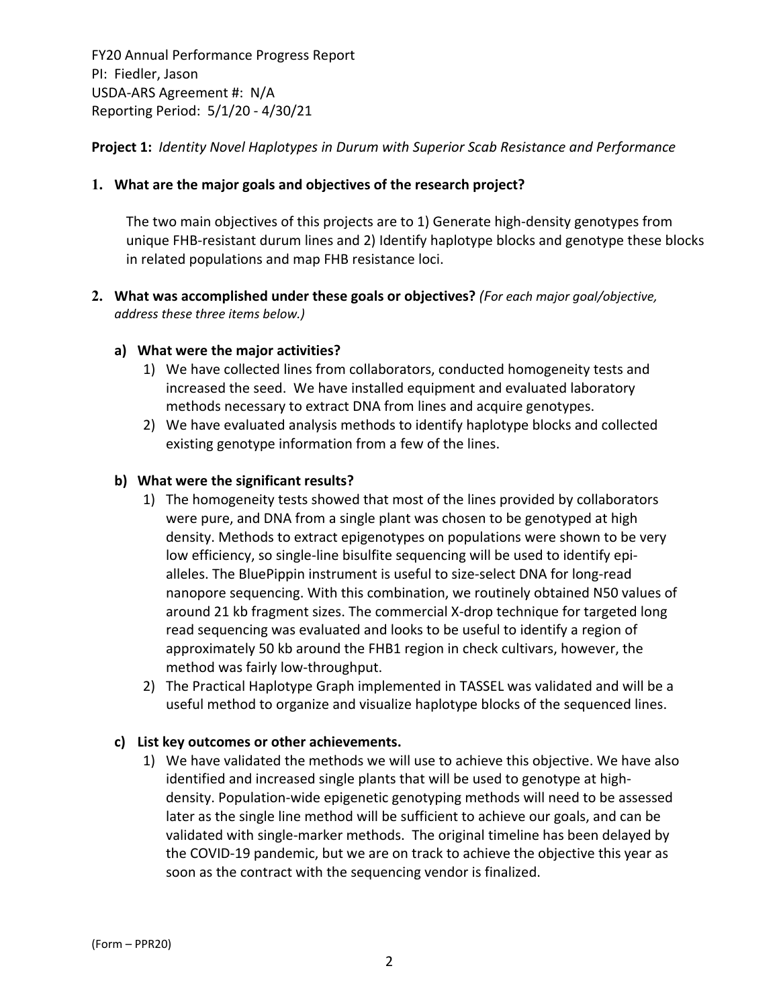**Project 1:** *Identity Novel Haplotypes in Durum with Superior Scab Resistance and Performance*

#### **1. What are the major goals and objectives of the research project?**

The two main objectives of this projects are to 1) Generate high‐density genotypes from unique FHB‐resistant durum lines and 2) Identify haplotype blocks and genotype these blocks in related populations and map FHB resistance loci.

**2. What was accomplished under these goals or objectives?** *(For each major goal/objective, address these three items below.)*

#### **a) What were the major activities?**

- 1) We have collected lines from collaborators, conducted homogeneity tests and increased the seed. We have installed equipment and evaluated laboratory methods necessary to extract DNA from lines and acquire genotypes.
- 2) We have evaluated analysis methods to identify haplotype blocks and collected existing genotype information from a few of the lines.

#### **b) What were the significant results?**

- 1) The homogeneity tests showed that most of the lines provided by collaborators were pure, and DNA from a single plant was chosen to be genotyped at high density. Methods to extract epigenotypes on populations were shown to be very low efficiency, so single‐line bisulfite sequencing will be used to identify epi‐ alleles. The BluePippin instrument is useful to size‐select DNA for long‐read nanopore sequencing. With this combination, we routinely obtained N50 values of around 21 kb fragment sizes. The commercial X‐drop technique for targeted long read sequencing was evaluated and looks to be useful to identify a region of approximately 50 kb around the FHB1 region in check cultivars, however, the method was fairly low‐throughput.
- 2) The Practical Haplotype Graph implemented in TASSEL was validated and will be a useful method to organize and visualize haplotype blocks of the sequenced lines.

## **c) List key outcomes or other achievements.**

1) We have validated the methods we will use to achieve this objective. We have also identified and increased single plants that will be used to genotype at high‐ density. Population‐wide epigenetic genotyping methods will need to be assessed later as the single line method will be sufficient to achieve our goals, and can be validated with single‐marker methods. The original timeline has been delayed by the COVID‐19 pandemic, but we are on track to achieve the objective this year as soon as the contract with the sequencing vendor is finalized.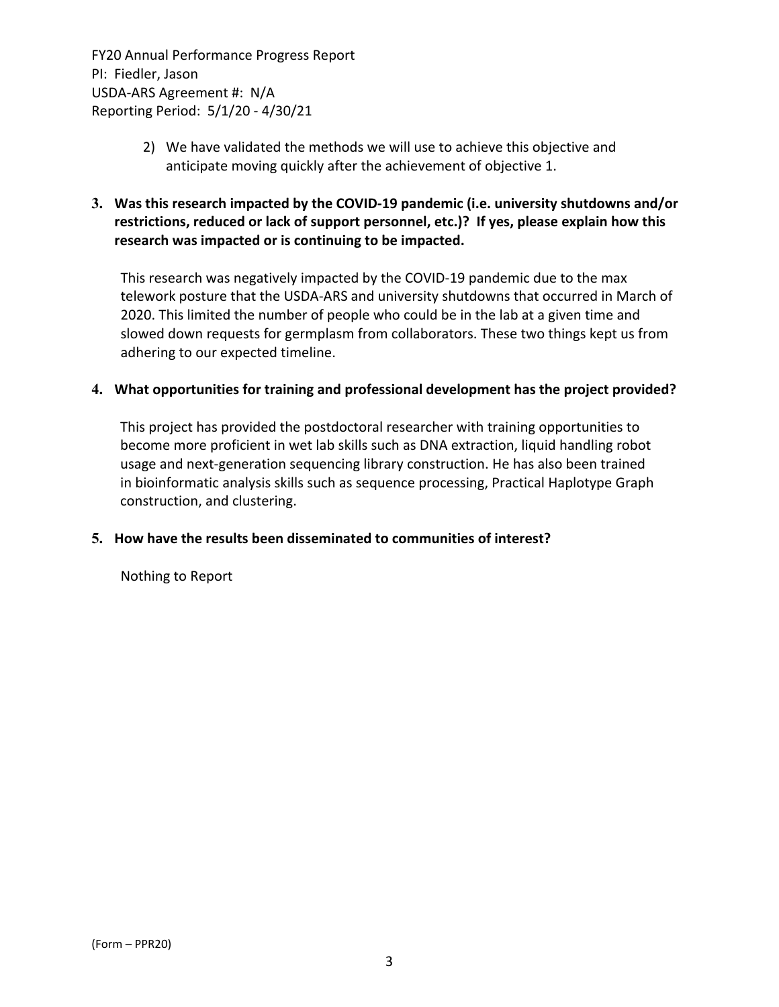- 2) We have validated the methods we will use to achieve this objective and anticipate moving quickly after the achievement of objective 1.
- **3. Was this research impacted by the COVID‐19 pandemic (i.e. university shutdowns and/or restrictions, reduced or lack of support personnel, etc.)? If yes, please explain how this research was impacted or is continuing to be impacted.**

This research was negatively impacted by the COVID‐19 pandemic due to the max telework posture that the USDA‐ARS and university shutdowns that occurred in March of 2020. This limited the number of people who could be in the lab at a given time and slowed down requests for germplasm from collaborators. These two things kept us from adhering to our expected timeline.

#### **4. What opportunities for training and professional development has the project provided?**

This project has provided the postdoctoral researcher with training opportunities to become more proficient in wet lab skills such as DNA extraction, liquid handling robot usage and next‐generation sequencing library construction. He has also been trained in bioinformatic analysis skills such as sequence processing, Practical Haplotype Graph construction, and clustering.

## **5. How have the results been disseminated to communities of interest?**

Nothing to Report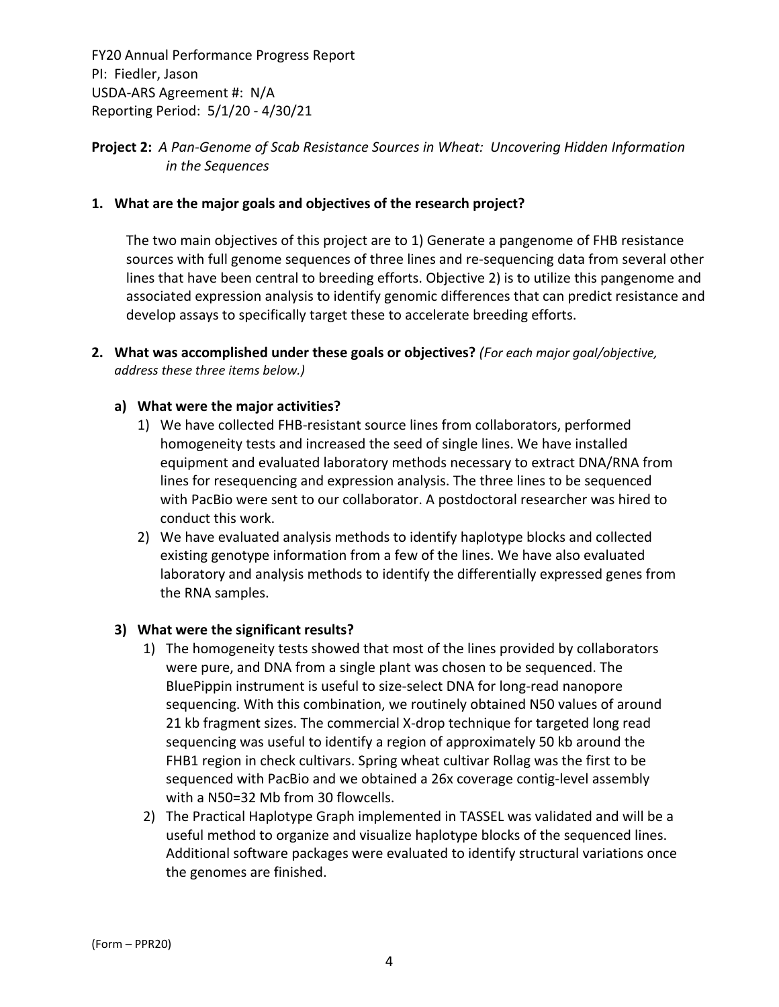## **Project 2:** *A Pan‐Genome of Scab Resistance Sources in Wheat: Uncovering Hidden Information in the Sequences*

#### **1. What are the major goals and objectives of the research project?**

The two main objectives of this project are to 1) Generate a pangenome of FHB resistance sources with full genome sequences of three lines and re‐sequencing data from several other lines that have been central to breeding efforts. Objective 2) is to utilize this pangenome and associated expression analysis to identify genomic differences that can predict resistance and develop assays to specifically target these to accelerate breeding efforts.

**2. What was accomplished under these goals or objectives?** *(For each major goal/objective, address these three items below.)*

#### **a) What were the major activities?**

- 1) We have collected FHB‐resistant source lines from collaborators, performed homogeneity tests and increased the seed of single lines. We have installed equipment and evaluated laboratory methods necessary to extract DNA/RNA from lines for resequencing and expression analysis. The three lines to be sequenced with PacBio were sent to our collaborator. A postdoctoral researcher was hired to conduct this work.
- 2) We have evaluated analysis methods to identify haplotype blocks and collected existing genotype information from a few of the lines. We have also evaluated laboratory and analysis methods to identify the differentially expressed genes from the RNA samples.

#### **3) What were the significant results?**

- 1) The homogeneity tests showed that most of the lines provided by collaborators were pure, and DNA from a single plant was chosen to be sequenced. The BluePippin instrument is useful to size‐select DNA for long‐read nanopore sequencing. With this combination, we routinely obtained N50 values of around 21 kb fragment sizes. The commercial X‐drop technique for targeted long read sequencing was useful to identify a region of approximately 50 kb around the FHB1 region in check cultivars. Spring wheat cultivar Rollag was the first to be sequenced with PacBio and we obtained a 26x coverage contig‐level assembly with a N50=32 Mb from 30 flowcells.
- 2) The Practical Haplotype Graph implemented in TASSEL was validated and will be a useful method to organize and visualize haplotype blocks of the sequenced lines. Additional software packages were evaluated to identify structural variations once the genomes are finished.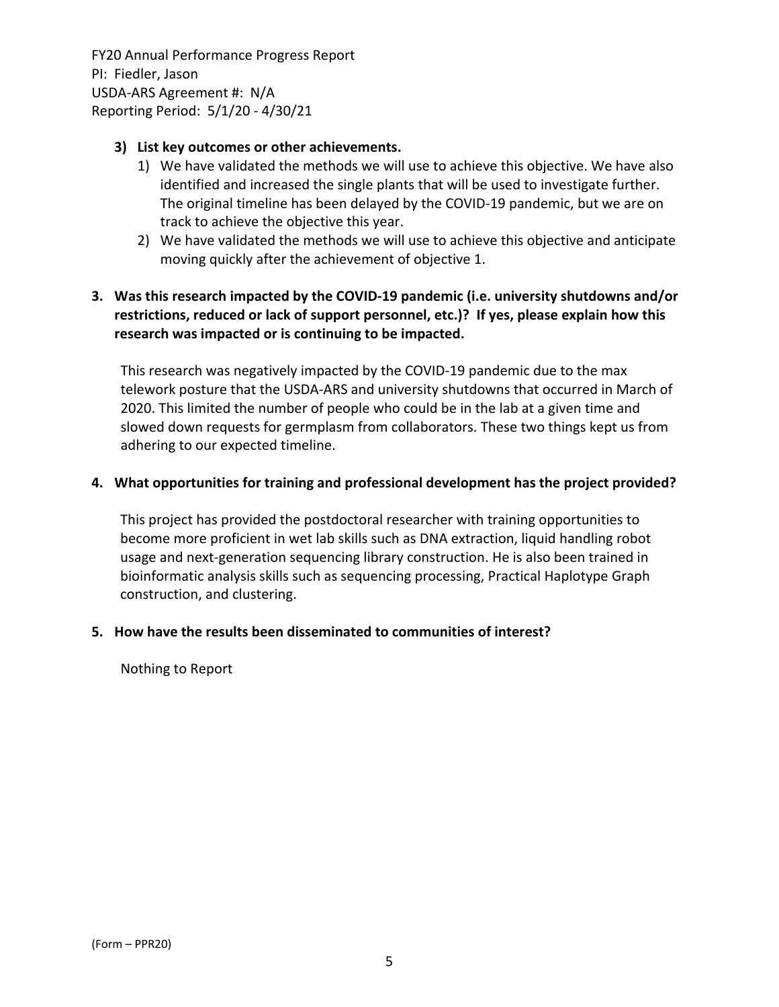#### **3) List key outcomes or other achievements.**

- 1) We have validated the methods we will use to achieve this objective. We have also identified and increased the single plants that will be used to investigate further. The original timeline has been delayed by the COVID‐19 pandemic, but we are on track to achieve the objective this year.
- 2) We have validated the methods we will use to achieve this objective and anticipate moving quickly after the achievement of objective 1.

# **3. Was this research impacted by the COVID‐19 pandemic (i.e. university shutdowns and/or restrictions, reduced or lack of support personnel, etc.)? If yes, please explain how this research was impacted or is continuing to be impacted.**

This research was negatively impacted by the COVID‐19 pandemic due to the max telework posture that the USDA‐ARS and university shutdowns that occurred in March of 2020. This limited the number of people who could be in the lab at a given time and slowed down requests for germplasm from collaborators. These two things kept us from adhering to our expected timeline.

#### **4. What opportunities for training and professional development has the project provided?**

This project has provided the postdoctoral researcher with training opportunities to become more proficient in wet lab skills such as DNA extraction, liquid handling robot usage and next‐generation sequencing library construction. He is also been trained in bioinformatic analysis skills such as sequencing processing, Practical Haplotype Graph construction, and clustering.

#### **5. How have the results been disseminated to communities of interest?**

Nothing to Report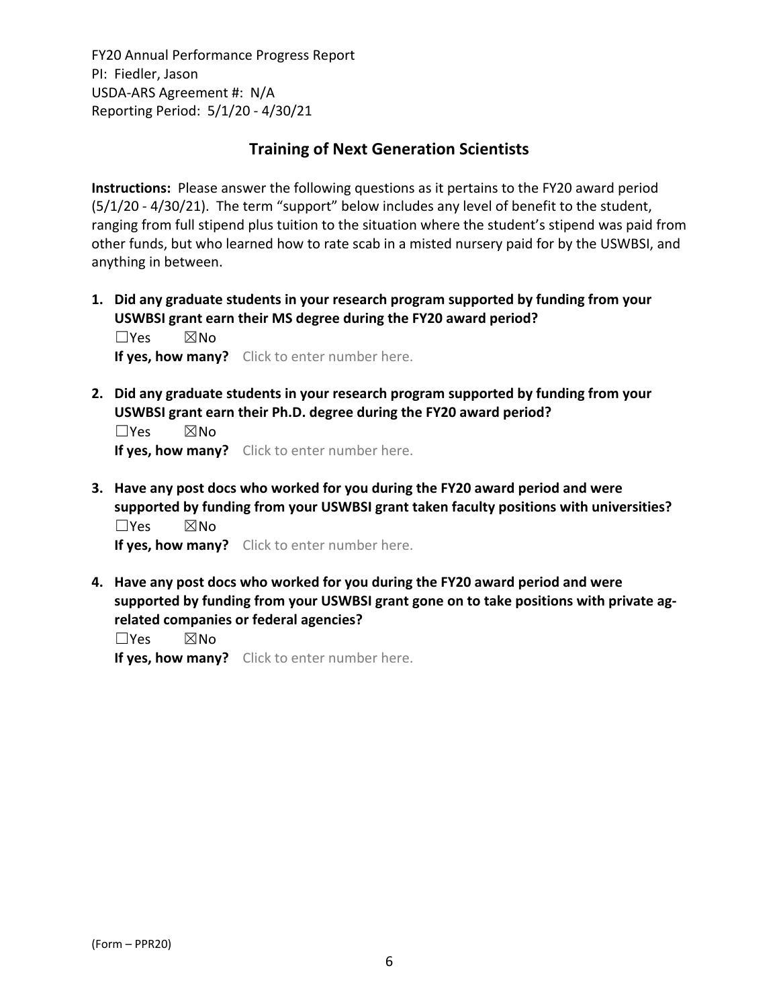# **Training of Next Generation Scientists**

**Instructions:** Please answer the following questions as it pertains to the FY20 award period (5/1/20 ‐ 4/30/21). The term "support" below includes any level of benefit to the student, ranging from full stipend plus tuition to the situation where the student's stipend was paid from other funds, but who learned how to rate scab in a misted nursery paid for by the USWBSI, and anything in between.

**1. Did any graduate students in your research program supported by funding from your USWBSI grant earn their MS degree during the FY20 award period?** ☐Yes ☒No

**If yes, how many?** Click to enter number here.

**2. Did any graduate students in your research program supported by funding from your USWBSI grant earn their Ph.D. degree during the FY20 award period?**

 $\square$ Yes  $\square$ No **If yes, how many?** Click to enter number here.

**3. Have any post docs who worked for you during the FY20 award period and were supported by funding from your USWBSI grant taken faculty positions with universities?** ☐Yes ☒No

**If yes, how many?** Click to enter number here.

**4. Have any post docs who worked for you during the FY20 award period and were supported by funding from your USWBSI grant gone on to take positions with private ag‐ related companies or federal agencies?**

☐Yes ☒No

**If yes, how many?** Click to enter number here.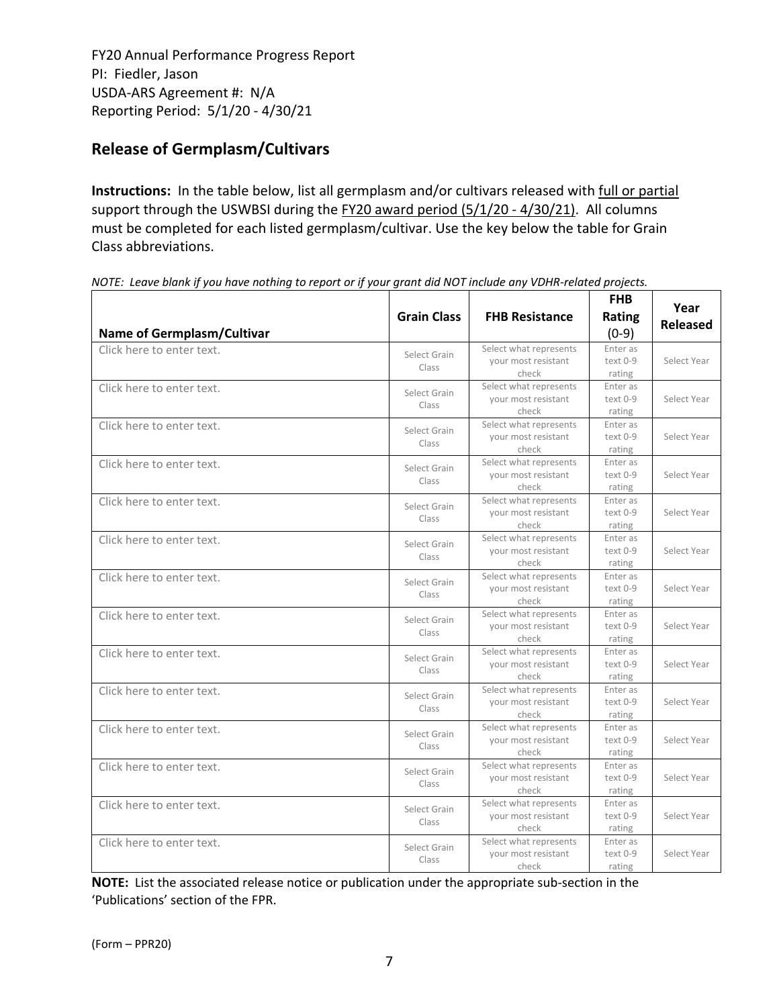# **Release of Germplasm/Cultivars**

**Instructions:** In the table below, list all germplasm and/or cultivars released with full or partial support through the USWBSI during the FY20 award period (5/1/20 - 4/30/21). All columns must be completed for each listed germplasm/cultivar. Use the key below the table for Grain Class abbreviations. 

| <b>Name of Germplasm/Cultivar</b> | <b>Grain Class</b>    | <b>FHB Resistance</b>                                  | <b>FHB</b><br>Rating<br>$(0-9)$ | Year<br><b>Released</b> |
|-----------------------------------|-----------------------|--------------------------------------------------------|---------------------------------|-------------------------|
| Click here to enter text.         | Select Grain<br>Class | Select what represents<br>your most resistant<br>check | Enter as<br>text 0-9<br>rating  | Select Year             |
| Click here to enter text.         | Select Grain<br>Class | Select what represents<br>your most resistant<br>check | Enter as<br>text 0-9<br>rating  | Select Year             |
| Click here to enter text.         | Select Grain<br>Class | Select what represents<br>vour most resistant<br>check | Enter as<br>text 0-9<br>rating  | Select Year             |
| Click here to enter text.         | Select Grain<br>Class | Select what represents<br>your most resistant<br>check | Enter as<br>text 0-9<br>rating  | Select Year             |
| Click here to enter text.         | Select Grain<br>Class | Select what represents<br>your most resistant<br>check | Enter as<br>text 0-9<br>rating  | Select Year             |
| Click here to enter text.         | Select Grain<br>Class | Select what represents<br>your most resistant<br>check | Enter as<br>text 0-9<br>rating  | Select Year             |
| Click here to enter text.         | Select Grain<br>Class | Select what represents<br>your most resistant<br>check | Enter as<br>text 0-9<br>rating  | Select Year             |
| Click here to enter text.         | Select Grain<br>Class | Select what represents<br>your most resistant<br>check | Enter as<br>text 0-9<br>rating  | Select Year             |
| Click here to enter text.         | Select Grain<br>Class | Select what represents<br>your most resistant<br>check | Enter as<br>text 0-9<br>rating  | Select Year             |
| Click here to enter text.         | Select Grain<br>Class | Select what represents<br>your most resistant<br>check | Enter as<br>text 0-9<br>rating  | Select Year             |
| Click here to enter text.         | Select Grain<br>Class | Select what represents<br>your most resistant<br>check | Enter as<br>text 0-9<br>rating  | Select Year             |
| Click here to enter text.         | Select Grain<br>Class | Select what represents<br>your most resistant<br>check | Enter as<br>text 0-9<br>rating  | Select Year             |
| Click here to enter text.         | Select Grain<br>Class | Select what represents<br>your most resistant<br>check | Enter as<br>text 0-9<br>rating  | Select Year             |
| Click here to enter text.         | Select Grain<br>Class | Select what represents<br>your most resistant<br>check | Enter as<br>text 0-9<br>rating  | Select Year             |

NOTE: Leave blank if you have nothing to report or if your grant did NOT include any VDHR-related projects.

**NOTE:** List the associated release notice or publication under the appropriate sub-section in the 'Publications' section of the FPR.